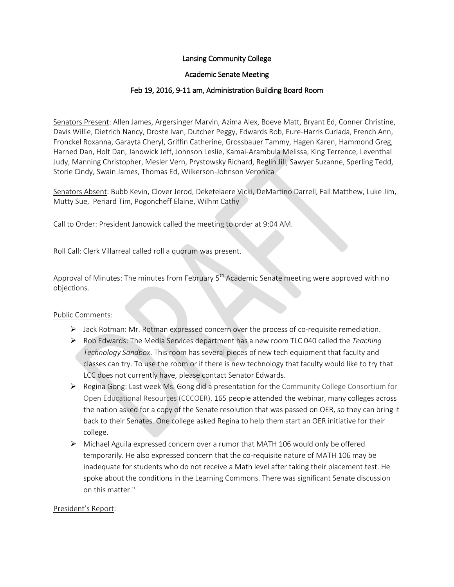# Lansing Community College

### Academic Senate Meeting

# Feb 19, 2016, 9-11 am, Administration Building Board Room

Senators Present: Allen James, Argersinger Marvin, Azima Alex, Boeve Matt, Bryant Ed, Conner Christine, Davis Willie, Dietrich Nancy, Droste Ivan, Dutcher Peggy, Edwards Rob, Eure-Harris Curlada, French Ann, Fronckel Roxanna, Garayta Cheryl, Griffin Catherine, Grossbauer Tammy, Hagen Karen, Hammond Greg, Harned Dan, Holt Dan, Janowick Jeff, Johnson Leslie, Kamai-Arambula Melissa, King Terrence, Leventhal Judy, Manning Christopher, Mesler Vern, Prystowsky Richard, Reglin Jill, Sawyer Suzanne, Sperling Tedd, Storie Cindy, Swain James, Thomas Ed, Wilkerson-Johnson Veronica

Senators Absent: Bubb Kevin, Clover Jerod, Deketelaere Vicki, DeMartino Darrell, Fall Matthew, Luke Jim, Mutty Sue, Periard Tim, Pogoncheff Elaine, Wilhm Cathy

Call to Order: President Janowick called the meeting to order at 9:04 AM.

Roll Call: Clerk Villarreal called roll a quorum was present.

Approval of Minutes: The minutes from February  $5<sup>th</sup>$  Academic Senate meeting were approved with no objections.

### Public Comments:

- Jack Rotman: Mr. Rotman expressed concern over the process of co-requisite remediation.
- Rob Edwards: The Media Services department has a new room TLC 040 called the *Teaching Technology Sandbox*. This room has several pieces of new tech equipment that faculty and classes can try. To use the room or if there is new technology that faculty would like to try that LCC does not currently have, please contact Senator Edwards.
- $\triangleright$  Regina Gong: Last week Ms. Gong did a presentation for the Community College Consortium for Open Educational Resources (CCCOER). 165 people attended the webinar, many colleges across the nation asked for a copy of the Senate resolution that was passed on OER, so they can bring it back to their Senates. One college asked Regina to help them start an OER initiative for their college.
- $\triangleright$  Michael Aguila expressed concern over a rumor that MATH 106 would only be offered temporarily. He also expressed concern that the co-requisite nature of MATH 106 may be inadequate for students who do not receive a Math level after taking their placement test. He spoke about the conditions in the Learning Commons. There was significant Senate discussion on this matter."

### President's Report: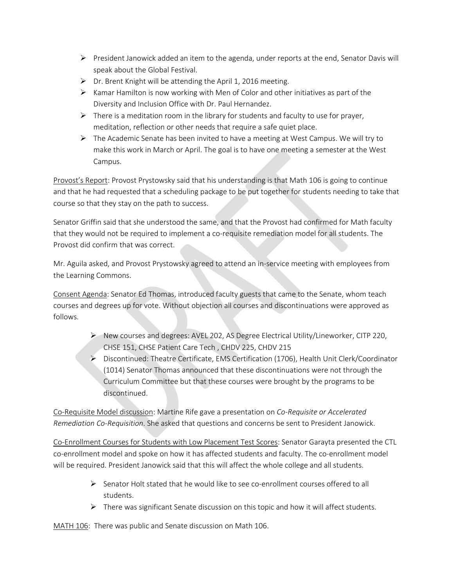- $\triangleright$  President Janowick added an item to the agenda, under reports at the end, Senator Davis will speak about the Global Festival.
- $\triangleright$  Dr. Brent Knight will be attending the April 1, 2016 meeting.
- $\triangleright$  Kamar Hamilton is now working with Men of Color and other initiatives as part of the Diversity and Inclusion Office with Dr. Paul Hernandez.
- $\triangleright$  There is a meditation room in the library for students and faculty to use for prayer, meditation, reflection or other needs that require a safe quiet place.
- $\triangleright$  The Academic Senate has been invited to have a meeting at West Campus. We will try to make this work in March or April. The goal is to have one meeting a semester at the West Campus.

Provost's Report: Provost Prystowsky said that his understanding is that Math 106 is going to continue and that he had requested that a scheduling package to be put together for students needing to take that course so that they stay on the path to success.

Senator Griffin said that she understood the same, and that the Provost had confirmed for Math faculty that they would not be required to implement a co-requisite remediation model for all students. The Provost did confirm that was correct.

Mr. Aguila asked, and Provost Prystowsky agreed to attend an in-service meeting with employees from the Learning Commons.

Consent Agenda: Senator Ed Thomas, introduced faculty guests that came to the Senate, whom teach courses and degrees up for vote. Without objection all courses and discontinuations were approved as follows.

- $\triangleright$  New courses and degrees: AVEL 202, AS Degree Electrical Utility/Lineworker, CITP 220, CHSE 151, CHSE Patient Care Tech , CHDV 225, CHDV 215
- Discontinued: Theatre Certificate, EMS Certification (1706), Health Unit Clerk/Coordinator (1014) Senator Thomas announced that these discontinuations were not through the Curriculum Committee but that these courses were brought by the programs to be discontinued.

Co-Requisite Model discussion: Martine Rife gave a presentation on *Co-Requisite or Accelerated Remediation Co-Requisition*. She asked that questions and concerns be sent to President Janowick.

Co-Enrollment Courses for Students with Low Placement Test Scores: Senator Garayta presented the CTL co-enrollment model and spoke on how it has affected students and faculty. The co-enrollment model will be required. President Janowick said that this will affect the whole college and all students.

- Senator Holt stated that he would like to see co-enrollment courses offered to all students.
- $\triangleright$  There was significant Senate discussion on this topic and how it will affect students.

MATH 106: There was public and Senate discussion on Math 106.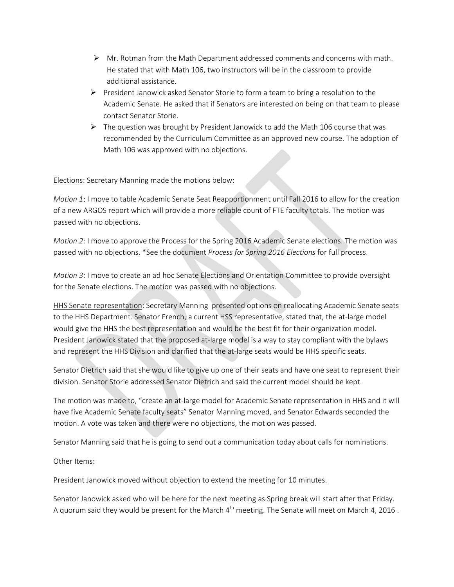- $\triangleright$  Mr. Rotman from the Math Department addressed comments and concerns with math. He stated that with Math 106, two instructors will be in the classroom to provide additional assistance.
- $\triangleright$  President Janowick asked Senator Storie to form a team to bring a resolution to the Academic Senate. He asked that if Senators are interested on being on that team to please contact Senator Storie.
- $\triangleright$  The question was brought by President Janowick to add the Math 106 course that was recommended by the Curriculum Committee as an approved new course. The adoption of Math 106 was approved with no objections.

Elections: Secretary Manning made the motions below:

*Motion 1*: I move to table Academic Senate Seat Reapportionment until Fall 2016 to allow for the creation of a new ARGOS report which will provide a more reliable count of FTE faculty totals. The motion was passed with no objections.

*Motion 2*: I move to approve the Process for the Spring 2016 Academic Senate elections. The motion was passed with no objections. \*See the document *Process for Spring 2016 Elections* for full process.

*Motion 3*: I move to create an ad hoc Senate Elections and Orientation Committee to provide oversight for the Senate elections. The motion was passed with no objections.

HHS Senate representation: Secretary Manning presented options on reallocating Academic Senate seats to the HHS Department. Senator French, a current HSS representative, stated that, the at-large model would give the HHS the best representation and would be the best fit for their organization model. President Janowick stated that the proposed at-large model is a way to stay compliant with the bylaws and represent the HHS Division and clarified that the at-large seats would be HHS specific seats.

Senator Dietrich said that she would like to give up one of their seats and have one seat to represent their division. Senator Storie addressed Senator Dietrich and said the current model should be kept.

The motion was made to, "create an at-large model for Academic Senate representation in HHS and it will have five Academic Senate faculty seats" Senator Manning moved, and Senator Edwards seconded the motion. A vote was taken and there were no objections, the motion was passed.

Senator Manning said that he is going to send out a communication today about calls for nominations.

### Other Items:

President Janowick moved without objection to extend the meeting for 10 minutes.

Senator Janowick asked who will be here for the next meeting as Spring break will start after that Friday. A quorum said they would be present for the March 4<sup>th</sup> meeting. The Senate will meet on March 4, 2016.